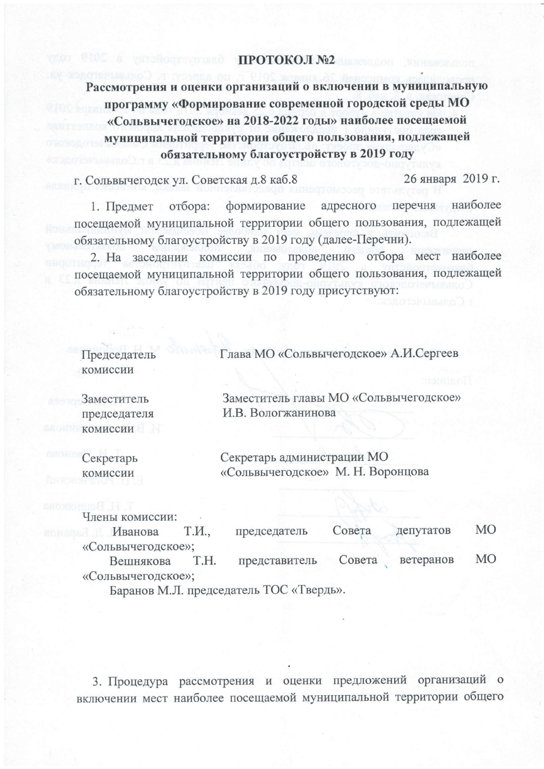## ПРОТОКОЛ №2

Рассмотрения и оценки организаций о включении в муниципальную программу «Формирование современной городской среды МО «Сольвычегодское» на 2018-2022 годы» наиболее посещаемой муниципальной территории общего пользования, подлежащей обязательному благоустройству в 2019 году

г. Сольвычегодск ул. Советская д.8 каб.8

26 января 2019 г.

адресного перечня наиболее формирование 1. Предмет отбора: посещаемой муниципальной территории общего пользования, подлежащей обязательному благоустройству в 2019 году (далее-Перечни).

2. На заседании комиссии по проведению отбора мест наиболее посещаемой муниципальной территории общего пользования, подлежащей обязательному благоустройству в 2019 году присутствуют:

| Председатель | Глава МО «Сольвычегодское» А.И.Сергеев |
|--------------|----------------------------------------|
| комиссии     |                                        |
| Заместитель  | Заместитель главы МО «Сольвычегодское» |
| председателя | И.В. Вологжанинова                     |
| комиссии     |                                        |
| Секретарь    | Секретарь администрации МО             |
| комиссии     | «Сольвычегодское» М. Н. Воронцова      |
|              |                                        |

Члены комиссии: **MO** депутатов Иванова Т.И., председатель Совета «Сольвычегодское»: **MO** T.H. ветеранов Вешнякова представитель Совета «Сольвычегодское»; Баранов М.Л. председатель ТОС «Твердь».

3. Процедура рассмотрения и оценки предложений организаций о включении мест наиболее посещаемой муниципальной территории общего